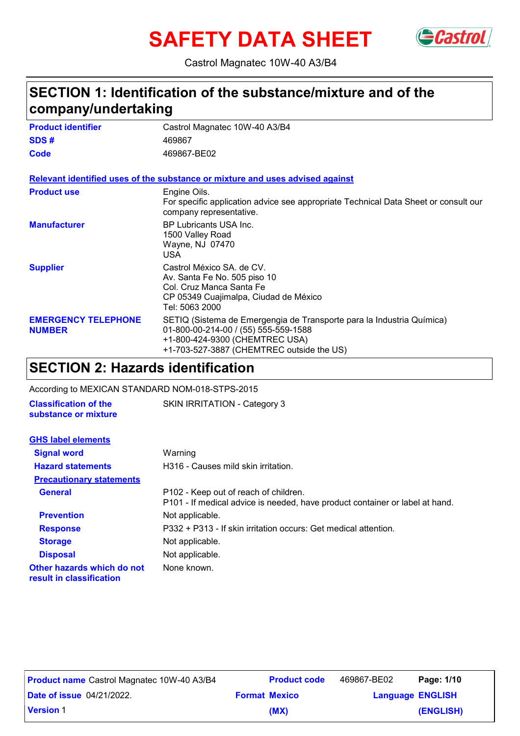# **SAFETY DATA SHEET** GCastrol



Castrol Magnatec 10W-40 A3/B4

### **SECTION 1: Identification of the substance/mixture and of the company/undertaking**

| <b>Product identifier</b>                   | Castrol Magnatec 10W-40 A3/B4                                                                                                                                                                |
|---------------------------------------------|----------------------------------------------------------------------------------------------------------------------------------------------------------------------------------------------|
| SDS#                                        | 469867                                                                                                                                                                                       |
| Code                                        | 469867-BE02                                                                                                                                                                                  |
|                                             | Relevant identified uses of the substance or mixture and uses advised against                                                                                                                |
| <b>Product use</b>                          | Engine Oils.<br>For specific application advice see appropriate Technical Data Sheet or consult our<br>company representative.                                                               |
| <b>Manufacturer</b>                         | BP Lubricants USA Inc.<br>1500 Valley Road<br>Wayne, NJ 07470<br>USA                                                                                                                         |
| <b>Supplier</b>                             | Castrol México SA, de CV.<br>Av. Santa Fe No. 505 piso 10<br>Col. Cruz Manca Santa Fe<br>CP 05349 Cuajimalpa, Ciudad de México<br>Tel: 5063 2000                                             |
| <b>EMERGENCY TELEPHONE</b><br><b>NUMBER</b> | SETIQ (Sistema de Emergengia de Transporte para la Industria Química)<br>01-800-00-214-00 / (55) 555-559-1588<br>+1-800-424-9300 (CHEMTREC USA)<br>+1-703-527-3887 (CHEMTREC outside the US) |

### **SECTION 2: Hazards identification**

According to MEXICAN STANDARD NOM-018-STPS-2015

**Classification of the** SKIN IRRITATION - Category 3

| substance or mixture                                   |                                                                                                                       |
|--------------------------------------------------------|-----------------------------------------------------------------------------------------------------------------------|
| <b>GHS label elements</b>                              |                                                                                                                       |
| <b>Signal word</b>                                     | Warning                                                                                                               |
| <b>Hazard statements</b>                               | H316 - Causes mild skin irritation.                                                                                   |
| <b>Precautionary statements</b>                        |                                                                                                                       |
| <b>General</b>                                         | P102 - Keep out of reach of children.<br>P101 - If medical advice is needed, have product container or label at hand. |
| <b>Prevention</b>                                      | Not applicable.                                                                                                       |
| <b>Response</b>                                        | P332 + P313 - If skin irritation occurs: Get medical attention.                                                       |
| <b>Storage</b>                                         | Not applicable.                                                                                                       |
| <b>Disposal</b>                                        | Not applicable.                                                                                                       |
| Other hazards which do not<br>result in classification | None known.                                                                                                           |

| <b>Product name</b> Castrol Magnatec 10W-40 A3/B4 | <b>Product code</b>  | 469867-BE02             | Page: 1/10 |
|---------------------------------------------------|----------------------|-------------------------|------------|
| <b>Date of issue 04/21/2022.</b>                  | <b>Format Mexico</b> | <b>Language ENGLISH</b> |            |
| <b>Version 1</b>                                  | (MX)                 |                         | (ENGLISH)  |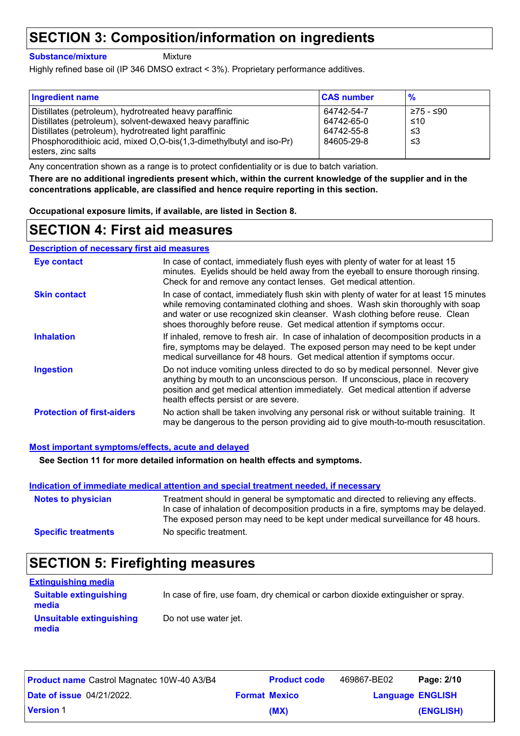### **SECTION 3: Composition/information on ingredients**

**Substance/mixture**

**Mixture** 

Highly refined base oil (IP 346 DMSO extract < 3%). Proprietary performance additives.

| <b>Ingredient name</b>                                                                                                                                                        | <b>CAS number</b>                      | $\frac{9}{6}$           |
|-------------------------------------------------------------------------------------------------------------------------------------------------------------------------------|----------------------------------------|-------------------------|
| Distillates (petroleum), hydrotreated heavy paraffinic<br>Distillates (petroleum), solvent-dewaxed heavy paraffinic<br>Distillates (petroleum), hydrotreated light paraffinic | 64742-54-7<br>64742-65-0<br>64742-55-8 | ≥75 - ≤90<br>≤10<br>-≤3 |
| Phosphorodithioic acid, mixed O,O-bis(1,3-dimethylbutyl and iso-Pr)<br>l esters. zinc salts                                                                                   | 84605-29-8                             | -≤3                     |

Any concentration shown as a range is to protect confidentiality or is due to batch variation.

**There are no additional ingredients present which, within the current knowledge of the supplier and in the concentrations applicable, are classified and hence require reporting in this section.**

**Occupational exposure limits, if available, are listed in Section 8.**

### **SECTION 4: First aid measures**

#### **Description of necessary first aid measures**

| <b>Eye contact</b>                | In case of contact, immediately flush eyes with plenty of water for at least 15<br>minutes. Eyelids should be held away from the eyeball to ensure thorough rinsing.<br>Check for and remove any contact lenses. Get medical attention.                                                                                              |
|-----------------------------------|--------------------------------------------------------------------------------------------------------------------------------------------------------------------------------------------------------------------------------------------------------------------------------------------------------------------------------------|
| <b>Skin contact</b>               | In case of contact, immediately flush skin with plenty of water for at least 15 minutes<br>while removing contaminated clothing and shoes. Wash skin thoroughly with soap<br>and water or use recognized skin cleanser. Wash clothing before reuse. Clean<br>shoes thoroughly before reuse. Get medical attention if symptoms occur. |
| <b>Inhalation</b>                 | If inhaled, remove to fresh air. In case of inhalation of decomposition products in a<br>fire, symptoms may be delayed. The exposed person may need to be kept under<br>medical surveillance for 48 hours. Get medical attention if symptoms occur.                                                                                  |
| <b>Ingestion</b>                  | Do not induce vomiting unless directed to do so by medical personnel. Never give<br>anything by mouth to an unconscious person. If unconscious, place in recovery<br>position and get medical attention immediately. Get medical attention if adverse<br>health effects persist or are severe.                                       |
| <b>Protection of first-aiders</b> | No action shall be taken involving any personal risk or without suitable training. It<br>may be dangerous to the person providing aid to give mouth-to-mouth resuscitation.                                                                                                                                                          |

#### **Most important symptoms/effects, acute and delayed**

**See Section 11 for more detailed information on health effects and symptoms.**

#### **Indication of immediate medical attention and special treatment needed, if necessary**

| <b>Notes to physician</b>  | Treatment should in general be symptomatic and directed to relieving any effects.<br>In case of inhalation of decomposition products in a fire, symptoms may be delayed.<br>The exposed person may need to be kept under medical surveillance for 48 hours. |
|----------------------------|-------------------------------------------------------------------------------------------------------------------------------------------------------------------------------------------------------------------------------------------------------------|
| <b>Specific treatments</b> | No specific treatment.                                                                                                                                                                                                                                      |

### **SECTION 5: Firefighting measures**

| <b>Extinguishing media</b>             |                                                                                  |
|----------------------------------------|----------------------------------------------------------------------------------|
| <b>Suitable extinguishing</b><br>media | In case of fire, use foam, dry chemical or carbon dioxide extinguisher or spray. |
| Unsuitable extinguishing<br>media      | Do not use water jet.                                                            |

| <b>Product name</b> Castrol Magnatec 10W-40 A3/B4 | <b>Product code</b>  | 469867-BE02             | Page: 2/10 |
|---------------------------------------------------|----------------------|-------------------------|------------|
| <b>Date of issue 04/21/2022.</b>                  | <b>Format Mexico</b> | <b>Language ENGLISH</b> |            |
| <b>Version 1</b>                                  | (MX)                 |                         | (ENGLISH)  |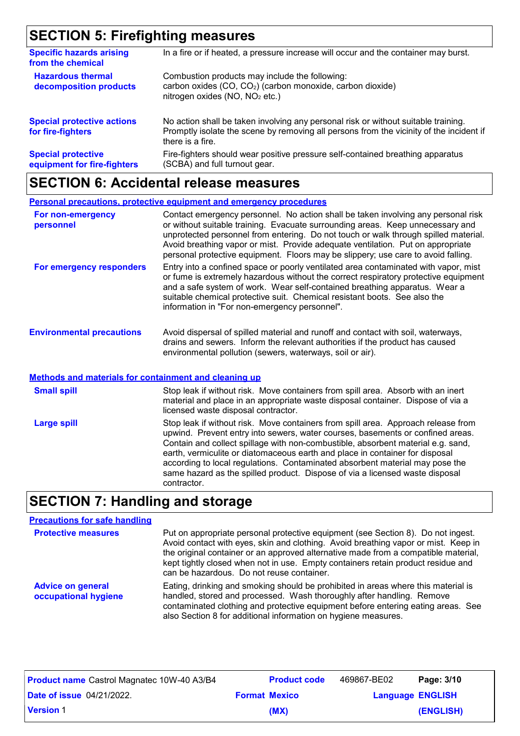## **SECTION 5: Firefighting measures**

| <b>Specific hazards arising</b><br>from the chemical     | In a fire or if heated, a pressure increase will occur and the container may burst.                                                                                                               |
|----------------------------------------------------------|---------------------------------------------------------------------------------------------------------------------------------------------------------------------------------------------------|
| <b>Hazardous thermal</b><br>decomposition products       | Combustion products may include the following:<br>carbon oxides (CO, CO <sub>2</sub> ) (carbon monoxide, carbon dioxide)<br>nitrogen oxides (NO, NO <sub>2</sub> etc.)                            |
| <b>Special protective actions</b><br>for fire-fighters   | No action shall be taken involving any personal risk or without suitable training.<br>Promptly isolate the scene by removing all persons from the vicinity of the incident if<br>there is a fire. |
| <b>Special protective</b><br>equipment for fire-fighters | Fire-fighters should wear positive pressure self-contained breathing apparatus<br>(SCBA) and full turnout gear.                                                                                   |

## **SECTION 6: Accidental release measures**

|                                  | Personal precautions, protective equipment and emergency procedures                                                                                                                                                                                                                                                                                                                                                                |
|----------------------------------|------------------------------------------------------------------------------------------------------------------------------------------------------------------------------------------------------------------------------------------------------------------------------------------------------------------------------------------------------------------------------------------------------------------------------------|
| For non-emergency<br>personnel   | Contact emergency personnel. No action shall be taken involving any personal risk<br>or without suitable training. Evacuate surrounding areas. Keep unnecessary and<br>unprotected personnel from entering. Do not touch or walk through spilled material.<br>Avoid breathing vapor or mist. Provide adequate ventilation. Put on appropriate<br>personal protective equipment. Floors may be slippery; use care to avoid falling. |
| For emergency responders         | Entry into a confined space or poorly ventilated area contaminated with vapor, mist<br>or fume is extremely hazardous without the correct respiratory protective equipment<br>and a safe system of work. Wear self-contained breathing apparatus. Wear a<br>suitable chemical protective suit. Chemical resistant boots. See also the<br>information in "For non-emergency personnel".                                             |
| <b>Environmental precautions</b> | Avoid dispersal of spilled material and runoff and contact with soil, waterways,<br>drains and sewers. Inform the relevant authorities if the product has caused<br>environmental pollution (sewers, waterways, soil or air).                                                                                                                                                                                                      |

#### **Methods and materials for containment and cleaning up**

| <b>Small spill</b> | Stop leak if without risk. Move containers from spill area. Absorb with an inert<br>material and place in an appropriate waste disposal container. Dispose of via a<br>licensed waste disposal contractor.                                                                                                                                                                                                                                                                                                             |
|--------------------|------------------------------------------------------------------------------------------------------------------------------------------------------------------------------------------------------------------------------------------------------------------------------------------------------------------------------------------------------------------------------------------------------------------------------------------------------------------------------------------------------------------------|
| <b>Large spill</b> | Stop leak if without risk. Move containers from spill area. Approach release from<br>upwind. Prevent entry into sewers, water courses, basements or confined areas.<br>Contain and collect spillage with non-combustible, absorbent material e.g. sand,<br>earth, vermiculite or diatomaceous earth and place in container for disposal<br>according to local regulations. Contaminated absorbent material may pose the<br>same hazard as the spilled product. Dispose of via a licensed waste disposal<br>contractor. |

## **SECTION 7: Handling and storage**

### **Precautions for safe handling**

| <b>Protective measures</b>                       | Put on appropriate personal protective equipment (see Section 8). Do not ingest.<br>Avoid contact with eyes, skin and clothing. Avoid breathing vapor or mist. Keep in<br>the original container or an approved alternative made from a compatible material,<br>kept tightly closed when not in use. Empty containers retain product residue and<br>can be hazardous. Do not reuse container. |
|--------------------------------------------------|-----------------------------------------------------------------------------------------------------------------------------------------------------------------------------------------------------------------------------------------------------------------------------------------------------------------------------------------------------------------------------------------------|
| <b>Advice on general</b><br>occupational hygiene | Eating, drinking and smoking should be prohibited in areas where this material is<br>handled, stored and processed. Wash thoroughly after handling. Remove<br>contaminated clothing and protective equipment before entering eating areas. See<br>also Section 8 for additional information on hygiene measures.                                                                              |

| <b>Product name</b> Castrol Magnatec 10W-40 A3/B4 | <b>Product code</b>  | 469867-BE02             | Page: 3/10 |
|---------------------------------------------------|----------------------|-------------------------|------------|
| <b>Date of issue 04/21/2022.</b>                  | <b>Format Mexico</b> | <b>Language ENGLISH</b> |            |
| <b>Version 1</b>                                  | (MX)                 |                         | (ENGLISH)  |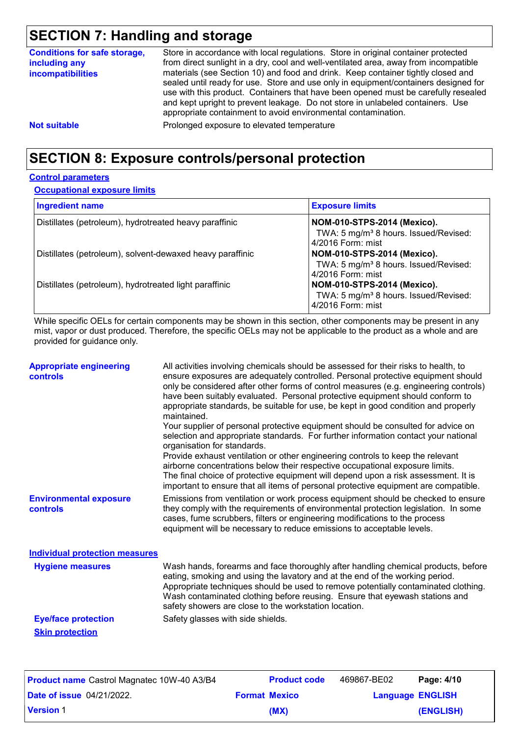## **SECTION 7: Handling and storage**

| <b>Conditions for safe storage,</b><br>including any<br><i>incompatibilities</i> | Store in accordance with local regulations. Store in original container protected<br>from direct sunlight in a dry, cool and well-ventilated area, away from incompatible<br>materials (see Section 10) and food and drink. Keep container tightly closed and                                                                |
|----------------------------------------------------------------------------------|------------------------------------------------------------------------------------------------------------------------------------------------------------------------------------------------------------------------------------------------------------------------------------------------------------------------------|
|                                                                                  | sealed until ready for use. Store and use only in equipment/containers designed for<br>use with this product. Containers that have been opened must be carefully resealed<br>and kept upright to prevent leakage. Do not store in unlabeled containers. Use<br>appropriate containment to avoid environmental contamination. |
| <b>Not suitable</b>                                                              | Prolonged exposure to elevated temperature                                                                                                                                                                                                                                                                                   |

## **SECTION 8: Exposure controls/personal protection**

#### **Control parameters**

#### **Occupational exposure limits**

| <b>Ingredient name</b>                                    | <b>Exposure limits</b>                                                                                       |
|-----------------------------------------------------------|--------------------------------------------------------------------------------------------------------------|
| Distillates (petroleum), hydrotreated heavy paraffinic    | <b>NOM-010-STPS-2014 (Mexico).</b><br>TWA: 5 mg/m <sup>3</sup> 8 hours. Issued/Revised:<br>4/2016 Form: mist |
| Distillates (petroleum), solvent-dewaxed heavy paraffinic | <b>NOM-010-STPS-2014 (Mexico).</b><br>TWA: 5 mg/m <sup>3</sup> 8 hours. Issued/Revised:<br>4/2016 Form: mist |
| Distillates (petroleum), hydrotreated light paraffinic    | <b>NOM-010-STPS-2014 (Mexico).</b><br>TWA: 5 mg/m <sup>3</sup> 8 hours. Issued/Revised:<br>4/2016 Form: mist |

While specific OELs for certain components may be shown in this section, other components may be present in any mist, vapor or dust produced. Therefore, the specific OELs may not be applicable to the product as a whole and are provided for guidance only.

| <b>Appropriate engineering</b><br><b>controls</b> | All activities involving chemicals should be assessed for their risks to health, to<br>ensure exposures are adequately controlled. Personal protective equipment should<br>only be considered after other forms of control measures (e.g. engineering controls)<br>have been suitably evaluated. Personal protective equipment should conform to<br>appropriate standards, be suitable for use, be kept in good condition and properly<br>maintained.<br>Your supplier of personal protective equipment should be consulted for advice on<br>selection and appropriate standards. For further information contact your national<br>organisation for standards.<br>Provide exhaust ventilation or other engineering controls to keep the relevant<br>airborne concentrations below their respective occupational exposure limits.<br>The final choice of protective equipment will depend upon a risk assessment. It is<br>important to ensure that all items of personal protective equipment are compatible. |                     |             |            |
|---------------------------------------------------|---------------------------------------------------------------------------------------------------------------------------------------------------------------------------------------------------------------------------------------------------------------------------------------------------------------------------------------------------------------------------------------------------------------------------------------------------------------------------------------------------------------------------------------------------------------------------------------------------------------------------------------------------------------------------------------------------------------------------------------------------------------------------------------------------------------------------------------------------------------------------------------------------------------------------------------------------------------------------------------------------------------|---------------------|-------------|------------|
| <b>Environmental exposure</b><br>controls         | Emissions from ventilation or work process equipment should be checked to ensure<br>they comply with the requirements of environmental protection legislation. In some<br>cases, fume scrubbers, filters or engineering modifications to the process<br>equipment will be necessary to reduce emissions to acceptable levels.                                                                                                                                                                                                                                                                                                                                                                                                                                                                                                                                                                                                                                                                                 |                     |             |            |
| <b>Individual protection measures</b>             |                                                                                                                                                                                                                                                                                                                                                                                                                                                                                                                                                                                                                                                                                                                                                                                                                                                                                                                                                                                                               |                     |             |            |
| <b>Hygiene measures</b>                           | Wash hands, forearms and face thoroughly after handling chemical products, before<br>eating, smoking and using the lavatory and at the end of the working period.<br>Appropriate techniques should be used to remove potentially contaminated clothing.<br>Wash contaminated clothing before reusing. Ensure that eyewash stations and<br>safety showers are close to the workstation location.                                                                                                                                                                                                                                                                                                                                                                                                                                                                                                                                                                                                               |                     |             |            |
| <b>Eye/face protection</b>                        | Safety glasses with side shields.                                                                                                                                                                                                                                                                                                                                                                                                                                                                                                                                                                                                                                                                                                                                                                                                                                                                                                                                                                             |                     |             |            |
| <b>Skin protection</b>                            |                                                                                                                                                                                                                                                                                                                                                                                                                                                                                                                                                                                                                                                                                                                                                                                                                                                                                                                                                                                                               |                     |             |            |
| <b>Product name Castrol Magnatec 10W-40 A3/B4</b> |                                                                                                                                                                                                                                                                                                                                                                                                                                                                                                                                                                                                                                                                                                                                                                                                                                                                                                                                                                                                               | <b>Product code</b> | 469867-BE02 | Page: 4/10 |

| <b>Product name</b> Castrol Magnatec 10W-40 A3/B4 | <b>Product code</b>  | 469867-BE02             | Page: 4/10 |  |
|---------------------------------------------------|----------------------|-------------------------|------------|--|
| <b>Date of issue</b> 04/21/2022.                  | <b>Format Mexico</b> | <b>Language ENGLISH</b> |            |  |
| <b>Version 1</b>                                  | (MX)                 |                         | (ENGLISH)  |  |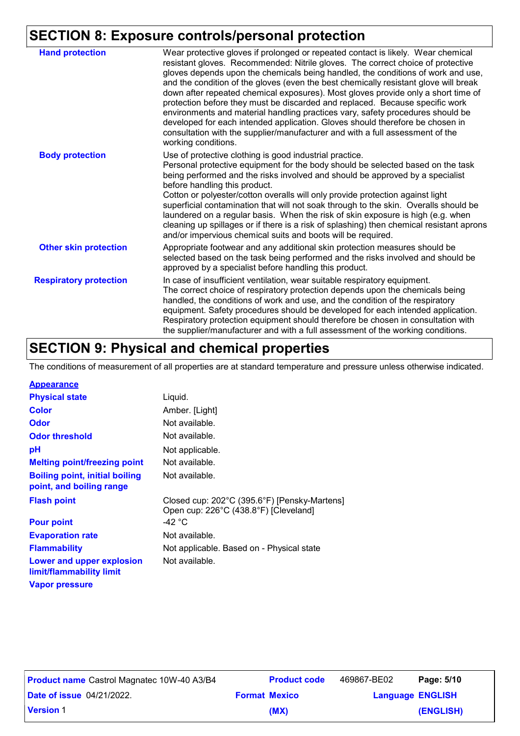## **SECTION 8: Exposure controls/personal protection**

| <b>Hand protection</b>        | Wear protective gloves if prolonged or repeated contact is likely. Wear chemical<br>resistant gloves. Recommended: Nitrile gloves. The correct choice of protective<br>gloves depends upon the chemicals being handled, the conditions of work and use,<br>and the condition of the gloves (even the best chemically resistant glove will break<br>down after repeated chemical exposures). Most gloves provide only a short time of<br>protection before they must be discarded and replaced. Because specific work<br>environments and material handling practices vary, safety procedures should be<br>developed for each intended application. Gloves should therefore be chosen in<br>consultation with the supplier/manufacturer and with a full assessment of the<br>working conditions. |
|-------------------------------|-------------------------------------------------------------------------------------------------------------------------------------------------------------------------------------------------------------------------------------------------------------------------------------------------------------------------------------------------------------------------------------------------------------------------------------------------------------------------------------------------------------------------------------------------------------------------------------------------------------------------------------------------------------------------------------------------------------------------------------------------------------------------------------------------|
| <b>Body protection</b>        | Use of protective clothing is good industrial practice.<br>Personal protective equipment for the body should be selected based on the task<br>being performed and the risks involved and should be approved by a specialist<br>before handling this product.<br>Cotton or polyester/cotton overalls will only provide protection against light<br>superficial contamination that will not soak through to the skin. Overalls should be<br>laundered on a regular basis. When the risk of skin exposure is high (e.g. when<br>cleaning up spillages or if there is a risk of splashing) then chemical resistant aprons<br>and/or impervious chemical suits and boots will be required.                                                                                                           |
| <b>Other skin protection</b>  | Appropriate footwear and any additional skin protection measures should be<br>selected based on the task being performed and the risks involved and should be<br>approved by a specialist before handling this product.                                                                                                                                                                                                                                                                                                                                                                                                                                                                                                                                                                         |
| <b>Respiratory protection</b> | In case of insufficient ventilation, wear suitable respiratory equipment.<br>The correct choice of respiratory protection depends upon the chemicals being<br>handled, the conditions of work and use, and the condition of the respiratory<br>equipment. Safety procedures should be developed for each intended application.<br>Respiratory protection equipment should therefore be chosen in consultation with<br>the supplier/manufacturer and with a full assessment of the working conditions.                                                                                                                                                                                                                                                                                           |

## **SECTION 9: Physical and chemical properties**

The conditions of measurement of all properties are at standard temperature and pressure unless otherwise indicated.

| <b>Appearance</b>                                                 |                                                                                       |
|-------------------------------------------------------------------|---------------------------------------------------------------------------------------|
| <b>Physical state</b>                                             | Liquid.                                                                               |
| <b>Color</b>                                                      | Amber. [Light]                                                                        |
| <b>Odor</b>                                                       | Not available.                                                                        |
| <b>Odor threshold</b>                                             | Not available.                                                                        |
| рH                                                                | Not applicable.                                                                       |
| <b>Melting point/freezing point</b>                               | Not available.                                                                        |
| <b>Boiling point, initial boiling</b><br>point, and boiling range | Not available.                                                                        |
| <b>Flash point</b>                                                | Closed cup: 202°C (395.6°F) [Pensky-Martens]<br>Open cup: 226°C (438.8°F) [Cleveland] |
| <b>Pour point</b>                                                 | -42 $^{\circ}$ C                                                                      |
| <b>Evaporation rate</b>                                           | Not available.                                                                        |
| <b>Flammability</b>                                               | Not applicable. Based on - Physical state                                             |
| Lower and upper explosion<br>limit/flammability limit             | Not available.                                                                        |
| <b>Vapor pressure</b>                                             |                                                                                       |

| <b>Product name</b> Castrol Magnatec 10W-40 A3/B4 | <b>Product code</b>  | 469867-BE02             | Page: 5/10 |
|---------------------------------------------------|----------------------|-------------------------|------------|
| <b>Date of issue 04/21/2022.</b>                  | <b>Format Mexico</b> | <b>Language ENGLISH</b> |            |
| <b>Version 1</b>                                  | (MX)                 |                         | (ENGLISH)  |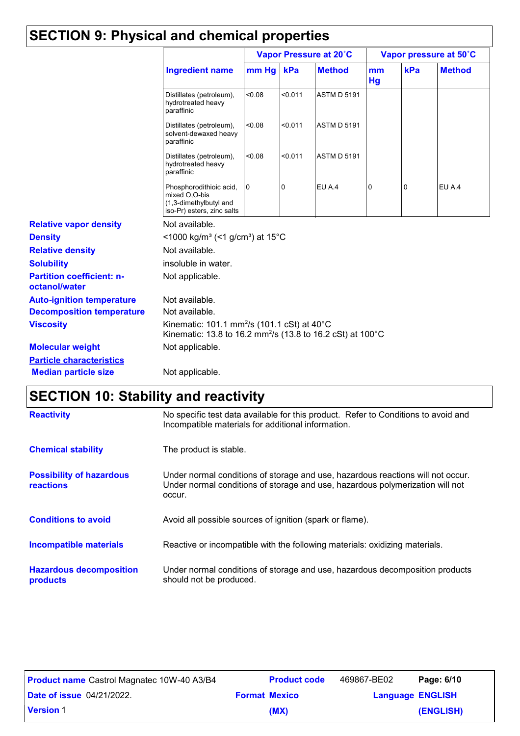## **SECTION 9: Physical and chemical properties**

|                                                   |                                                                                                                                   | Vapor Pressure at 20°C |         |                    |          |     | Vapor pressure at 50°C |
|---------------------------------------------------|-----------------------------------------------------------------------------------------------------------------------------------|------------------------|---------|--------------------|----------|-----|------------------------|
|                                                   | <b>Ingredient name</b>                                                                                                            | mm Hg                  | kPa     | <b>Method</b>      | mm<br>Hg | kPa | <b>Method</b>          |
|                                                   | Distillates (petroleum),<br>hydrotreated heavy<br>paraffinic                                                                      | <0.08                  | < 0.011 | <b>ASTM D 5191</b> |          |     |                        |
|                                                   | Distillates (petroleum),<br>solvent-dewaxed heavy<br>paraffinic                                                                   | 0.08                   | < 0.011 | <b>ASTM D 5191</b> |          |     |                        |
|                                                   | Distillates (petroleum),<br>hydrotreated heavy<br>paraffinic                                                                      | < 0.08                 | < 0.011 | <b>ASTM D 5191</b> |          |     |                        |
|                                                   | Phosphorodithioic acid,<br>mixed O,O-bis<br>(1,3-dimethylbutyl and<br>iso-Pr) esters, zinc salts                                  | 0                      | 0       | EU A.4             | 0        | 0   | EU A.4                 |
| <b>Relative vapor density</b>                     | Not available.                                                                                                                    |                        |         |                    |          |     |                        |
| <b>Density</b>                                    | <1000 kg/m <sup>3</sup> (<1 g/cm <sup>3</sup> ) at 15 <sup>°</sup> C                                                              |                        |         |                    |          |     |                        |
| <b>Relative density</b>                           | Not available.                                                                                                                    |                        |         |                    |          |     |                        |
| <b>Solubility</b>                                 | insoluble in water.                                                                                                               |                        |         |                    |          |     |                        |
| <b>Partition coefficient: n-</b><br>octanol/water | Not applicable.                                                                                                                   |                        |         |                    |          |     |                        |
| <b>Auto-ignition temperature</b>                  | Not available.                                                                                                                    |                        |         |                    |          |     |                        |
| <b>Decomposition temperature</b>                  | Not available.                                                                                                                    |                        |         |                    |          |     |                        |
| <b>Viscosity</b>                                  | Kinematic: 101.1 mm <sup>2</sup> /s (101.1 cSt) at 40°C<br>Kinematic: 13.8 to 16.2 mm <sup>2</sup> /s (13.8 to 16.2 cSt) at 100°C |                        |         |                    |          |     |                        |
| <b>Molecular weight</b>                           | Not applicable.                                                                                                                   |                        |         |                    |          |     |                        |
| <b>Particle characteristics</b>                   |                                                                                                                                   |                        |         |                    |          |     |                        |
| <b>Median particle size</b>                       | Not applicable.                                                                                                                   |                        |         |                    |          |     |                        |

# **SECTION 10: Stability and reactivity**

| <b>Reactivity</b>                            | No specific test data available for this product. Refer to Conditions to avoid and<br>Incompatible materials for additional information.                                   |
|----------------------------------------------|----------------------------------------------------------------------------------------------------------------------------------------------------------------------------|
| <b>Chemical stability</b>                    | The product is stable.                                                                                                                                                     |
| <b>Possibility of hazardous</b><br>reactions | Under normal conditions of storage and use, hazardous reactions will not occur.<br>Under normal conditions of storage and use, hazardous polymerization will not<br>occur. |
| <b>Conditions to avoid</b>                   | Avoid all possible sources of ignition (spark or flame).                                                                                                                   |
| <b>Incompatible materials</b>                | Reactive or incompatible with the following materials: oxidizing materials.                                                                                                |
| <b>Hazardous decomposition</b><br>products   | Under normal conditions of storage and use, hazardous decomposition products<br>should not be produced.                                                                    |

| <b>Product name</b> Castrol Magnatec 10W-40 A3/B4 | <b>Product code</b>  | 469867-BE02             | Page: 6/10 |
|---------------------------------------------------|----------------------|-------------------------|------------|
| <b>Date of issue 04/21/2022.</b>                  | <b>Format Mexico</b> | <b>Language ENGLISH</b> |            |
| <b>Version 1</b>                                  | (MX)                 |                         | (ENGLISH)  |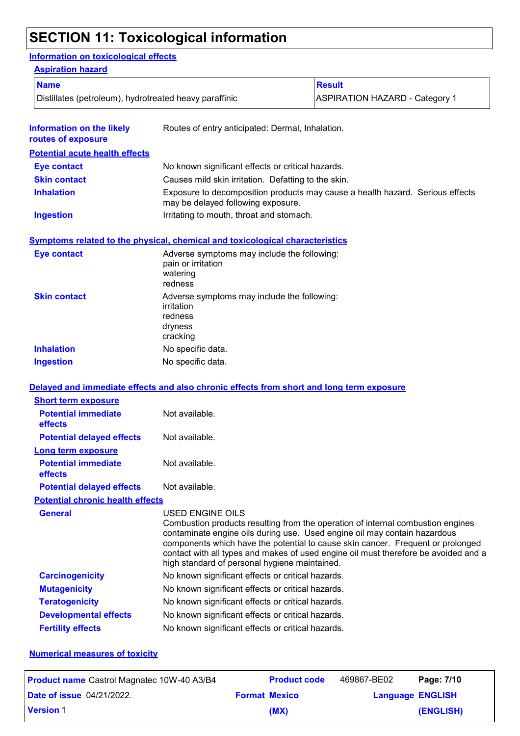## **SECTION 11: Toxicological information**

### **Information on toxicological effects**

| <b>Aspiration hazard</b>                               |                                                                                             |                                                                                                                                                                                                                                                                                                                                        |
|--------------------------------------------------------|---------------------------------------------------------------------------------------------|----------------------------------------------------------------------------------------------------------------------------------------------------------------------------------------------------------------------------------------------------------------------------------------------------------------------------------------|
| <b>Name</b>                                            |                                                                                             | <b>Result</b>                                                                                                                                                                                                                                                                                                                          |
| Distillates (petroleum), hydrotreated heavy paraffinic |                                                                                             | <b>ASPIRATION HAZARD - Category 1</b>                                                                                                                                                                                                                                                                                                  |
|                                                        |                                                                                             |                                                                                                                                                                                                                                                                                                                                        |
| <b>Information on the likely</b><br>routes of exposure | Routes of entry anticipated: Dermal, Inhalation.                                            |                                                                                                                                                                                                                                                                                                                                        |
| <b>Potential acute health effects</b>                  |                                                                                             |                                                                                                                                                                                                                                                                                                                                        |
| <b>Eye contact</b>                                     | No known significant effects or critical hazards.                                           |                                                                                                                                                                                                                                                                                                                                        |
| <b>Skin contact</b>                                    | Causes mild skin irritation. Defatting to the skin.                                         |                                                                                                                                                                                                                                                                                                                                        |
| <b>Inhalation</b>                                      | may be delayed following exposure.                                                          | Exposure to decomposition products may cause a health hazard. Serious effects                                                                                                                                                                                                                                                          |
| <b>Ingestion</b>                                       | Irritating to mouth, throat and stomach.                                                    |                                                                                                                                                                                                                                                                                                                                        |
|                                                        | Symptoms related to the physical, chemical and toxicological characteristics                |                                                                                                                                                                                                                                                                                                                                        |
| <b>Eye contact</b>                                     | Adverse symptoms may include the following:<br>pain or irritation<br>watering<br>redness    |                                                                                                                                                                                                                                                                                                                                        |
| <b>Skin contact</b>                                    | Adverse symptoms may include the following:<br>irritation<br>redness<br>dryness<br>cracking |                                                                                                                                                                                                                                                                                                                                        |
| <b>Inhalation</b>                                      | No specific data.                                                                           |                                                                                                                                                                                                                                                                                                                                        |
| <b>Ingestion</b>                                       | No specific data.                                                                           |                                                                                                                                                                                                                                                                                                                                        |
|                                                        | Delayed and immediate effects and also chronic effects from short and long term exposure    |                                                                                                                                                                                                                                                                                                                                        |
| <b>Short term exposure</b>                             |                                                                                             |                                                                                                                                                                                                                                                                                                                                        |
| <b>Potential immediate</b><br>effects                  | Not available.                                                                              |                                                                                                                                                                                                                                                                                                                                        |
| <b>Potential delayed effects</b>                       | Not available.                                                                              |                                                                                                                                                                                                                                                                                                                                        |
| Long term exposure                                     |                                                                                             |                                                                                                                                                                                                                                                                                                                                        |
| <b>Potential immediate</b><br>effects                  | Not available.                                                                              |                                                                                                                                                                                                                                                                                                                                        |
| <b>Potential delayed effects</b>                       | Not available.                                                                              |                                                                                                                                                                                                                                                                                                                                        |
| <b>Potential chronic health effects</b>                |                                                                                             |                                                                                                                                                                                                                                                                                                                                        |
| <b>General</b>                                         | USED ENGINE OILS<br>high standard of personal hygiene maintained.                           | Combustion products resulting from the operation of internal combustion engines<br>contaminate engine oils during use. Used engine oil may contain hazardous<br>components which have the potential to cause skin cancer. Frequent or prolonged<br>contact with all types and makes of used engine oil must therefore be avoided and a |
| <b>Carcinogenicity</b>                                 | No known significant effects or critical hazards.                                           |                                                                                                                                                                                                                                                                                                                                        |
| <b>Mutagenicity</b>                                    | No known significant effects or critical hazards.                                           |                                                                                                                                                                                                                                                                                                                                        |
| <b>Teratogenicity</b>                                  | No known significant effects or critical hazards.                                           |                                                                                                                                                                                                                                                                                                                                        |
| <b>Developmental effects</b>                           | No known significant effects or critical hazards.                                           |                                                                                                                                                                                                                                                                                                                                        |
| <b>Fertility effects</b>                               | No known significant effects or critical hazards.                                           |                                                                                                                                                                                                                                                                                                                                        |

#### **Numerical measures of toxicity**

| <b>Product name</b> Castrol Magnatec 10W-40 A3/B4 | <b>Product code</b>  | 469867-BE02             | Page: 7/10 |
|---------------------------------------------------|----------------------|-------------------------|------------|
| <b>Date of issue</b> 04/21/2022.                  | <b>Format Mexico</b> | <b>Language ENGLISH</b> |            |
| <b>Version 1</b>                                  | (MX)                 |                         | (ENGLISH)  |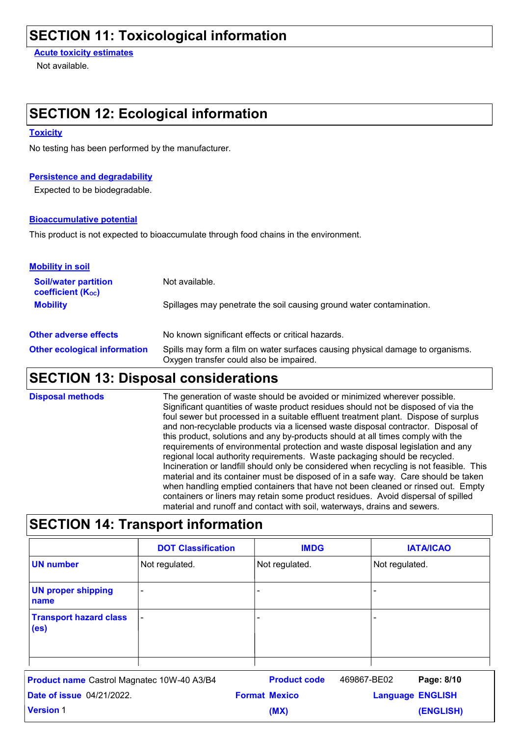### **SECTION 11: Toxicological information**

**Acute toxicity estimates**

Not available.

### **SECTION 12: Ecological information**

#### **Toxicity**

No testing has been performed by the manufacturer.

#### **Persistence and degradability**

Expected to be biodegradable.

#### **Bioaccumulative potential**

This product is not expected to bioaccumulate through food chains in the environment.

| <b>Mobility in soil</b>                                 |                                                                                                                           |
|---------------------------------------------------------|---------------------------------------------------------------------------------------------------------------------------|
| <b>Soil/water partition</b><br><b>coefficient (Koc)</b> | Not available.                                                                                                            |
| <b>Mobility</b>                                         | Spillages may penetrate the soil causing ground water contamination.                                                      |
| <b>Other adverse effects</b>                            | No known significant effects or critical hazards.                                                                         |
| <b>Other ecological information</b>                     | Spills may form a film on water surfaces causing physical damage to organisms.<br>Oxygen transfer could also be impaired. |

### **SECTION 13: Disposal considerations**

The generation of waste should be avoided or minimized wherever possible. Significant quantities of waste product residues should not be disposed of via the foul sewer but processed in a suitable effluent treatment plant. Dispose of surplus and non-recyclable products via a licensed waste disposal contractor. Disposal of this product, solutions and any by-products should at all times comply with the requirements of environmental protection and waste disposal legislation and any regional local authority requirements. Waste packaging should be recycled. Incineration or landfill should only be considered when recycling is not feasible. This material and its container must be disposed of in a safe way. Care should be taken when handling emptied containers that have not been cleaned or rinsed out. Empty containers or liners may retain some product residues. Avoid dispersal of spilled material and runoff and contact with soil, waterways, drains and sewers. **Disposal methods**

### **SECTION 14: Transport information**

|                                                    | <b>DOT Classification</b> | <b>IMDG</b>    | <b>IATA/ICAO</b> |
|----------------------------------------------------|---------------------------|----------------|------------------|
| <b>UN number</b>                                   | Not regulated.            | Not regulated. | Not regulated.   |
| <b>UN proper shipping</b><br>name                  | -                         |                |                  |
| <b>Transport hazard class</b><br>(e <sub>s</sub> ) | $\overline{\phantom{0}}$  | -              |                  |

| <b>Product name</b> Castrol Magnatec 10W-40 A3/B4 | <b>Product code</b>  | 469867-BE02             | Page: 8/10 |
|---------------------------------------------------|----------------------|-------------------------|------------|
| <b>Date of issue 04/21/2022.</b>                  | <b>Format Mexico</b> | <b>Language ENGLISH</b> |            |
| <b>Version 1</b>                                  | (MX)                 |                         | (ENGLISH)  |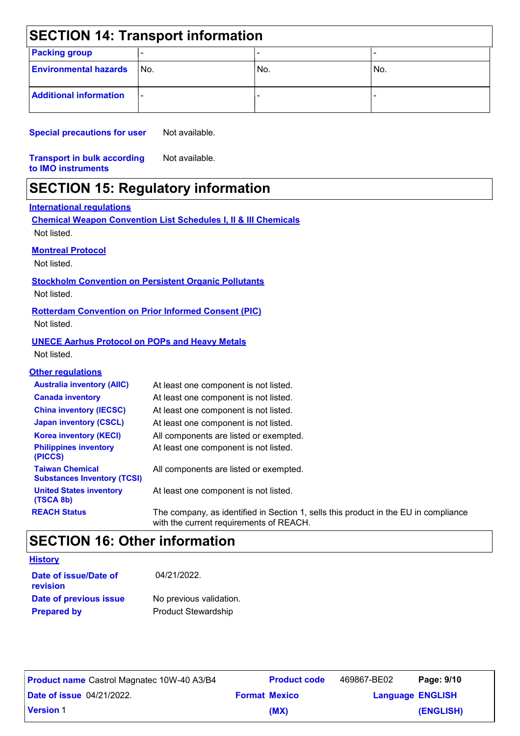| <b>SECTION 14: Transport information</b> |                          |     |     |  |  |
|------------------------------------------|--------------------------|-----|-----|--|--|
| <b>Packing group</b>                     |                          |     |     |  |  |
| <b>Environmental hazards</b>             | l No.                    | No. | No. |  |  |
| <b>Additional information</b>            | $\overline{\phantom{a}}$ |     |     |  |  |

**Special precautions for user** Not available.

**Transport in bulk according to IMO instruments** Not available.

## **SECTION 15: Regulatory information**

#### **International regulations**

|                                                              | <b>Chemical Weapon Convention List Schedules I, II &amp; III Chemicals</b>                                                     |
|--------------------------------------------------------------|--------------------------------------------------------------------------------------------------------------------------------|
| Not listed.                                                  |                                                                                                                                |
| <b>Montreal Protocol</b>                                     |                                                                                                                                |
| Not listed.                                                  |                                                                                                                                |
|                                                              | <b>Stockholm Convention on Persistent Organic Pollutants</b>                                                                   |
| Not listed.                                                  |                                                                                                                                |
|                                                              | <b>Rotterdam Convention on Prior Informed Consent (PIC)</b>                                                                    |
| Not listed.                                                  |                                                                                                                                |
| <b>UNECE Aarhus Protocol on POPs and Heavy Metals</b>        |                                                                                                                                |
| Not listed.                                                  |                                                                                                                                |
| <b>Other regulations</b>                                     |                                                                                                                                |
| <b>Australia inventory (AIIC)</b>                            | At least one component is not listed.                                                                                          |
| <b>Canada inventory</b>                                      | At least one component is not listed.                                                                                          |
| <b>China inventory (IECSC)</b>                               | At least one component is not listed.                                                                                          |
| <b>Japan inventory (CSCL)</b>                                | At least one component is not listed.                                                                                          |
| <b>Korea inventory (KECI)</b>                                | All components are listed or exempted.                                                                                         |
| <b>Philippines inventory</b><br>(PICCS)                      | At least one component is not listed.                                                                                          |
| <b>Taiwan Chemical</b><br><b>Substances Inventory (TCSI)</b> | All components are listed or exempted.                                                                                         |
| <b>United States inventory</b><br>(TSCA 8b)                  | At least one component is not listed.                                                                                          |
| <b>REACH Status</b>                                          | The company, as identified in Section 1, sells this product in the EU in compliance<br>with the current requirements of REACH. |

## **SECTION 16: Other information**

| <b>History</b>                    |                            |
|-----------------------------------|----------------------------|
| Date of issue/Date of<br>revision | 04/21/2022.                |
| Date of previous issue            | No previous validation.    |
| <b>Prepared by</b>                | <b>Product Stewardship</b> |

| <b>Product name Castrol Magnatec 10W-40 A3/B4</b> |                      | <b>Product code</b> | 469867-BE02             | Page: 9/10 |
|---------------------------------------------------|----------------------|---------------------|-------------------------|------------|
| <b>Date of issue 04/21/2022.</b>                  | <b>Format Mexico</b> |                     | <b>Language ENGLISH</b> |            |
| <b>Version 1</b>                                  |                      | (MX)                |                         | (ENGLISH)  |